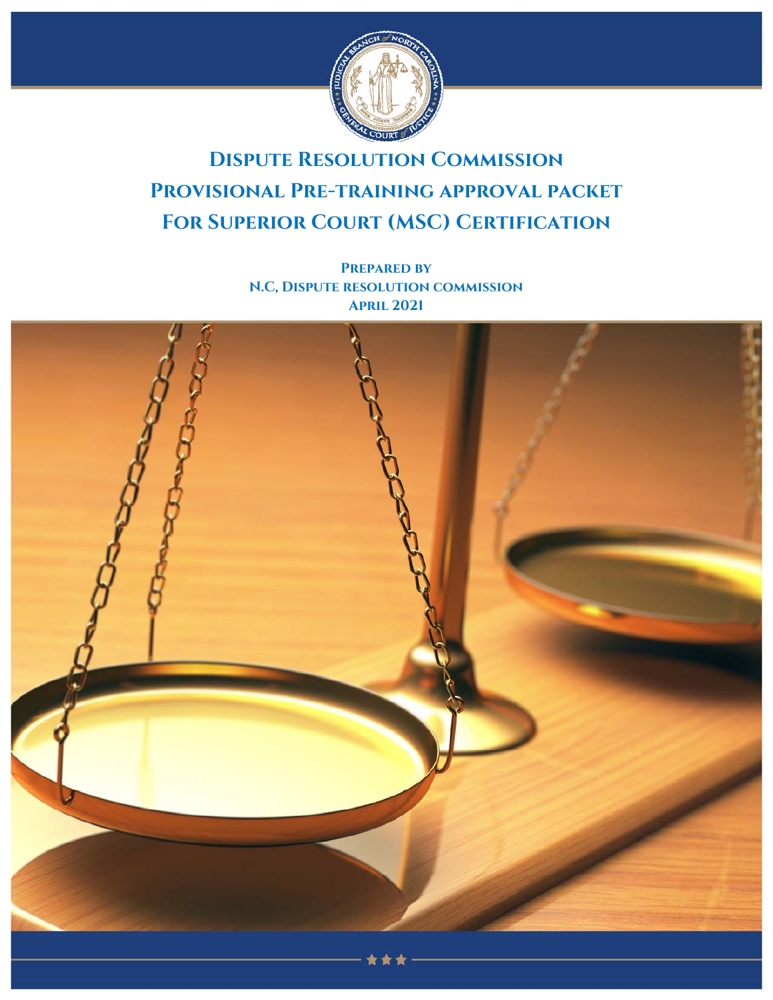

# **Dispute Resolution Commission Provisional Pre-training approval packet FOR SUPERIOR COURT (MSC) CERTIFICATION**

**Prepared by N.C, Dispute resolution commission April 2021**

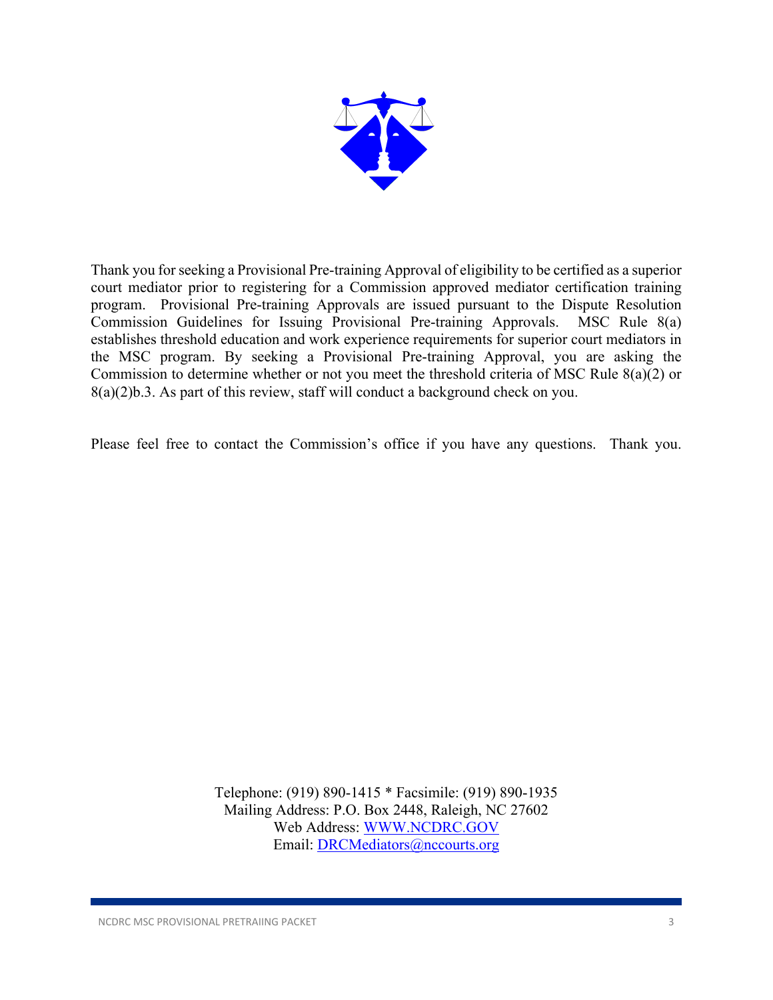

Thank you for seeking a Provisional Pre-training Approval of eligibility to be certified as a superior court mediator prior to registering for a Commission approved mediator certification training program. Provisional Pre-training Approvals are issued pursuant to the Dispute Resolution Commission Guidelines for Issuing Provisional Pre-training Approvals. MSC Rule 8(a) establishes threshold education and work experience requirements for superior court mediators in the MSC program. By seeking a Provisional Pre-training Approval, you are asking the Commission to determine whether or not you meet the threshold criteria of MSC Rule 8(a)(2) or 8(a)(2)b.3. As part of this review, staff will conduct a background check on you.

Please feel free to contact the Commission's office if you have any questions. Thank you.

Telephone: (919) 890-1415 \* Facsimile: (919) 890-1935 Mailing Address: P.O. Box 2448, Raleigh, NC 27602 Web Address: WWW.NCDRC.GOV Email: DRCMediators@nccourts.org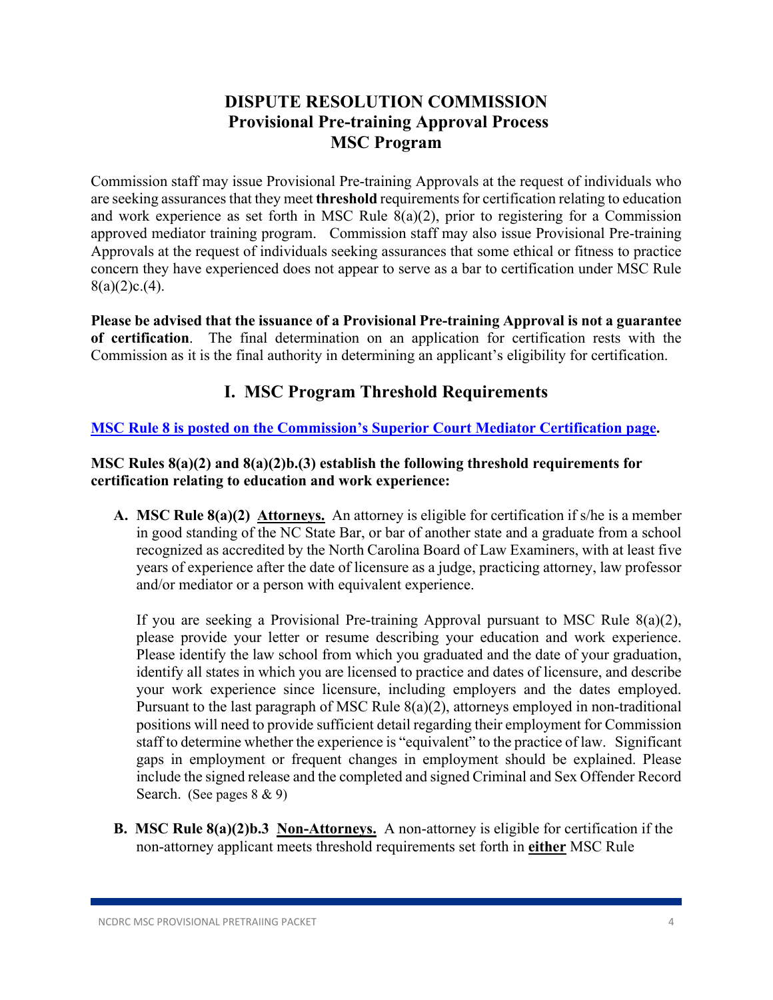# **DISPUTE RESOLUTION COMMISSION Provisional Pre-training Approval Process MSC Program**

Commission staff may issue Provisional Pre-training Approvals at the request of individuals who are seeking assurances that they meet **threshold** requirements for certification relating to education and work experience as set forth in MSC Rule 8(a)(2), prior to registering for a Commission approved mediator training program. Commission staff may also issue Provisional Pre-training Approvals at the request of individuals seeking assurances that some ethical or fitness to practice concern they have experienced does not appear to serve as a bar to certification under MSC Rule  $8(a)(2)c(4)$ .

**Please be advised that the issuance of a Provisional Pre-training Approval is not a guarantee of certification**. The final determination on an application for certification rests with the Commission as it is the final authority in determining an applicant's eligibility for certification.

# **I. MSC Program Threshold Requirements**

### **MSC Rule 8 is posted on the Commission's Superior Court Mediator Certification page.**

### **MSC Rules 8(a)(2) and 8(a)(2)b.(3) establish the following threshold requirements for certification relating to education and work experience:**

**A. MSC Rule 8(a)(2) Attorneys.** An attorney is eligible for certification if s/he is a member in good standing of the NC State Bar, or bar of another state and a graduate from a school recognized as accredited by the North Carolina Board of Law Examiners, with at least five years of experience after the date of licensure as a judge, practicing attorney, law professor and/or mediator or a person with equivalent experience.

If you are seeking a Provisional Pre-training Approval pursuant to MSC Rule 8(a)(2), please provide your letter or resume describing your education and work experience. Please identify the law school from which you graduated and the date of your graduation, identify all states in which you are licensed to practice and dates of licensure, and describe your work experience since licensure, including employers and the dates employed. Pursuant to the last paragraph of MSC Rule 8(a)(2), attorneys employed in non-traditional positions will need to provide sufficient detail regarding their employment for Commission staff to determine whether the experience is "equivalent" to the practice of law. Significant gaps in employment or frequent changes in employment should be explained. Please include the signed release and the completed and signed Criminal and Sex Offender Record Search. (See pages 8 & 9)

**B. MSC Rule 8(a)(2)b.3 Non-Attorneys.** A non-attorney is eligible for certification if the non-attorney applicant meets threshold requirements set forth in **either** MSC Rule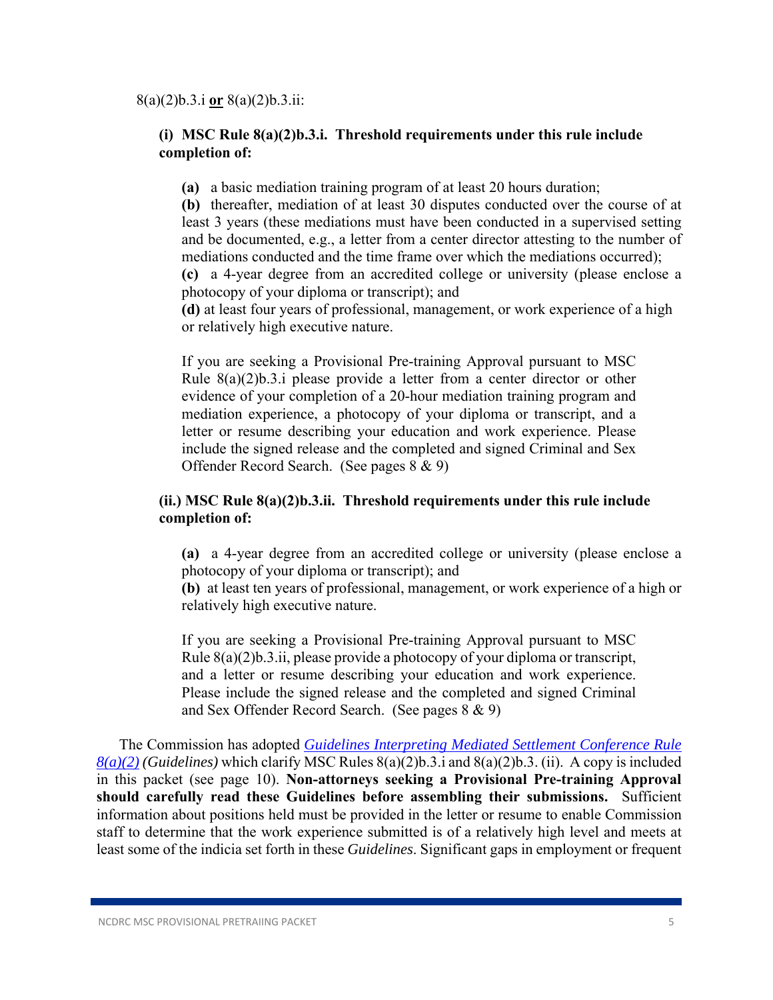#### **(i) MSC Rule 8(a)(2)b.3.i. Threshold requirements under this rule include completion of:**

 **(a)** a basic mediation training program of at least 20 hours duration;

 **(b)** thereafter, mediation of at least 30 disputes conducted over the course of at least 3 years (these mediations must have been conducted in a supervised setting and be documented, e.g., a letter from a center director attesting to the number of mediations conducted and the time frame over which the mediations occurred); **(c)** a 4-year degree from an accredited college or university (please enclose a photocopy of your diploma or transcript); and

 **(d)** at least four years of professional, management, or work experience of a high or relatively high executive nature.

If you are seeking a Provisional Pre-training Approval pursuant to MSC Rule 8(a)(2)b.3.i please provide a letter from a center director or other evidence of your completion of a 20-hour mediation training program and mediation experience, a photocopy of your diploma or transcript, and a letter or resume describing your education and work experience. Please include the signed release and the completed and signed Criminal and Sex Offender Record Search. (See pages 8 & 9)

#### **(ii.) MSC Rule 8(a)(2)b.3.ii. Threshold requirements under this rule include completion of:**

 **(a)** a 4-year degree from an accredited college or university (please enclose a photocopy of your diploma or transcript); and

 **(b)** at least ten years of professional, management, or work experience of a high or relatively high executive nature.

If you are seeking a Provisional Pre-training Approval pursuant to MSC Rule 8(a)(2)b.3.ii, please provide a photocopy of your diploma or transcript, and a letter or resume describing your education and work experience. Please include the signed release and the completed and signed Criminal and Sex Offender Record Search. (See pages 8 & 9)

The Commission has adopted *Guidelines Interpreting Mediated Settlement Conference Rule 8(a)(2) (Guidelines)* which clarify MSC Rules 8(a)(2)b.3.i and 8(a)(2)b.3. (ii). A copy is included in this packet (see page 10). **Non-attorneys seeking a Provisional Pre-training Approval should carefully read these Guidelines before assembling their submissions.** Sufficient information about positions held must be provided in the letter or resume to enable Commission staff to determine that the work experience submitted is of a relatively high level and meets at least some of the indicia set forth in these *Guidelines*. Significant gaps in employment or frequent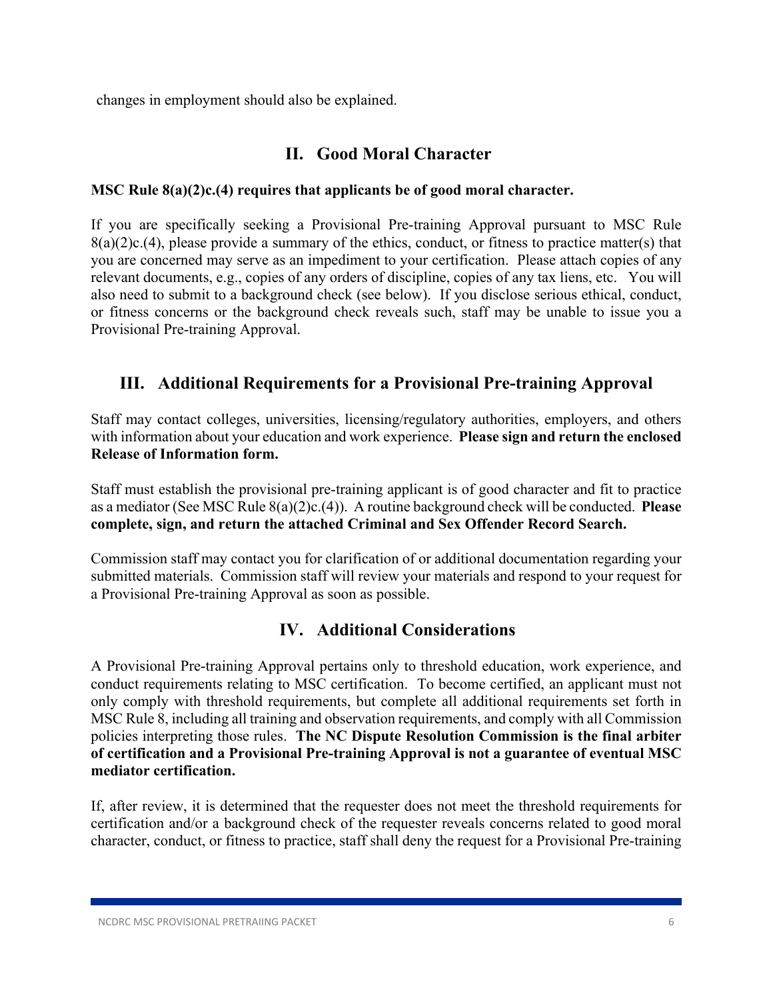changes in employment should also be explained.

### **II. Good Moral Character**

### **MSC Rule 8(a)(2)c.(4) requires that applicants be of good moral character.**

If you are specifically seeking a Provisional Pre-training Approval pursuant to MSC Rule  $8(a)(2)c(4)$ , please provide a summary of the ethics, conduct, or fitness to practice matter(s) that you are concerned may serve as an impediment to your certification. Please attach copies of any relevant documents, e.g., copies of any orders of discipline, copies of any tax liens, etc. You will also need to submit to a background check (see below). If you disclose serious ethical, conduct, or fitness concerns or the background check reveals such, staff may be unable to issue you a Provisional Pre-training Approval.

### **III. Additional Requirements for a Provisional Pre-training Approval**

Staff may contact colleges, universities, licensing/regulatory authorities, employers, and others with information about your education and work experience. **Please sign and return the enclosed Release of Information form.** 

Staff must establish the provisional pre-training applicant is of good character and fit to practice as a mediator (See MSC Rule 8(a)(2)c.(4)). A routine background check will be conducted. **Please complete, sign, and return the attached Criminal and Sex Offender Record Search.** 

Commission staff may contact you for clarification of or additional documentation regarding your submitted materials. Commission staff will review your materials and respond to your request for a Provisional Pre-training Approval as soon as possible.

# **IV. Additional Considerations**

A Provisional Pre-training Approval pertains only to threshold education, work experience, and conduct requirements relating to MSC certification. To become certified, an applicant must not only comply with threshold requirements, but complete all additional requirements set forth in MSC Rule 8, including all training and observation requirements, and comply with all Commission policies interpreting those rules. **The NC Dispute Resolution Commission is the final arbiter of certification and a Provisional Pre-training Approval is not a guarantee of eventual MSC mediator certification.** 

If, after review, it is determined that the requester does not meet the threshold requirements for certification and/or a background check of the requester reveals concerns related to good moral character, conduct, or fitness to practice, staff shall deny the request for a Provisional Pre-training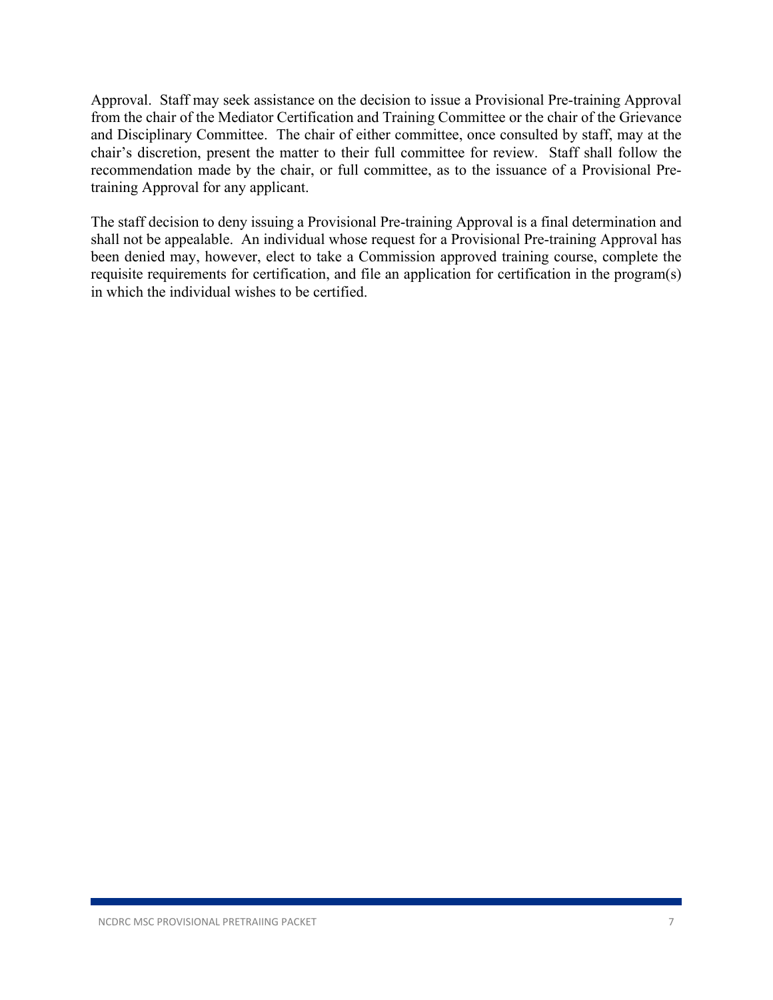Approval. Staff may seek assistance on the decision to issue a Provisional Pre-training Approval from the chair of the Mediator Certification and Training Committee or the chair of the Grievance and Disciplinary Committee. The chair of either committee, once consulted by staff, may at the chair's discretion, present the matter to their full committee for review. Staff shall follow the recommendation made by the chair, or full committee, as to the issuance of a Provisional Pretraining Approval for any applicant.

The staff decision to deny issuing a Provisional Pre-training Approval is a final determination and shall not be appealable. An individual whose request for a Provisional Pre-training Approval has been denied may, however, elect to take a Commission approved training course, complete the requisite requirements for certification, and file an application for certification in the program(s) in which the individual wishes to be certified.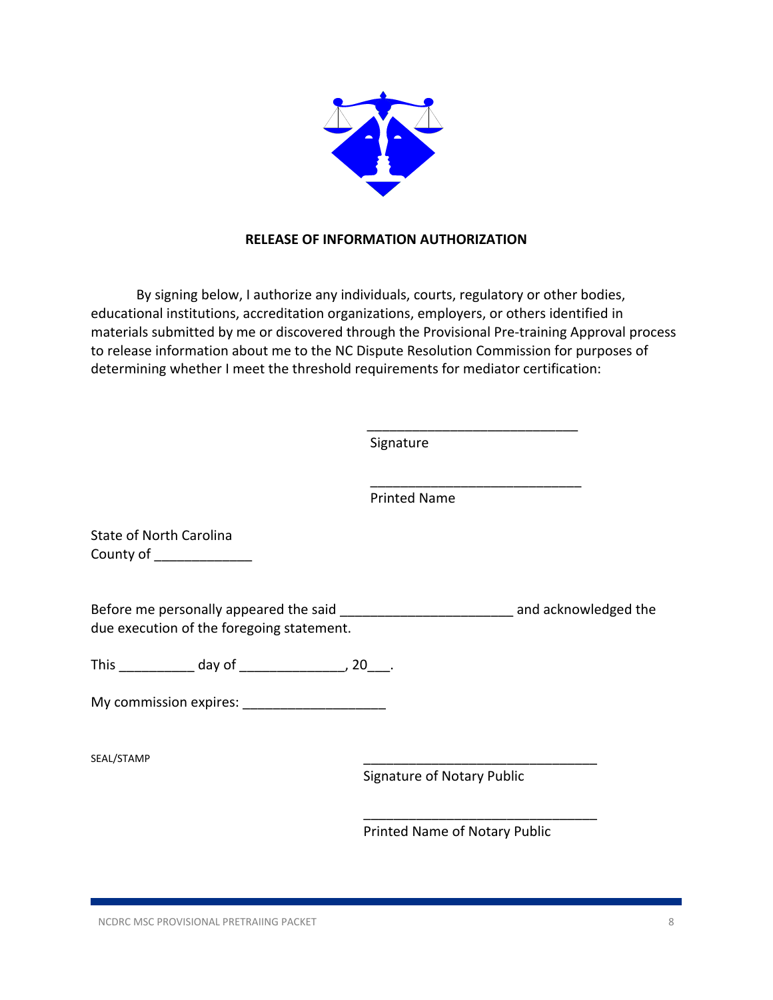

#### **RELEASE OF INFORMATION AUTHORIZATION**

By signing below, I authorize any individuals, courts, regulatory or other bodies, educational institutions, accreditation organizations, employers, or others identified in materials submitted by me or discovered through the Provisional Pre‐training Approval process to release information about me to the NC Dispute Resolution Commission for purposes of determining whether I meet the threshold requirements for mediator certification:

Signature

Printed Name

\_\_\_\_\_\_\_\_\_\_\_\_\_\_\_\_\_\_\_\_\_\_\_\_\_\_\_\_

State of North Carolina County of \_\_\_\_\_\_\_\_\_\_\_\_\_\_

Before me personally appeared the said \_\_\_\_\_\_\_\_\_\_\_\_\_\_\_\_\_\_\_\_\_\_\_\_\_\_\_\_\_\_\_\_\_\_\_ and acknowledged the due execution of the foregoing statement.

 $\overline{\phantom{a}}$  , and the contract of the contract of the contract of the contract of the contract of the contract of the contract of the contract of the contract of the contract of the contract of the contract of the contrac

 $\overline{\phantom{a}}$  , and the contract of the contract of the contract of the contract of the contract of the contract of the contract of the contract of the contract of the contract of the contract of the contract of the contrac

This day of this day of the set of the set of the set of the set of the set of the set of the set of the set o

My commission expires:

SEAL/STAMP \_\_\_\_\_\_\_\_\_\_\_\_\_\_\_\_\_\_\_\_\_\_\_\_\_\_\_\_\_\_\_

Signature of Notary Public

Printed Name of Notary Public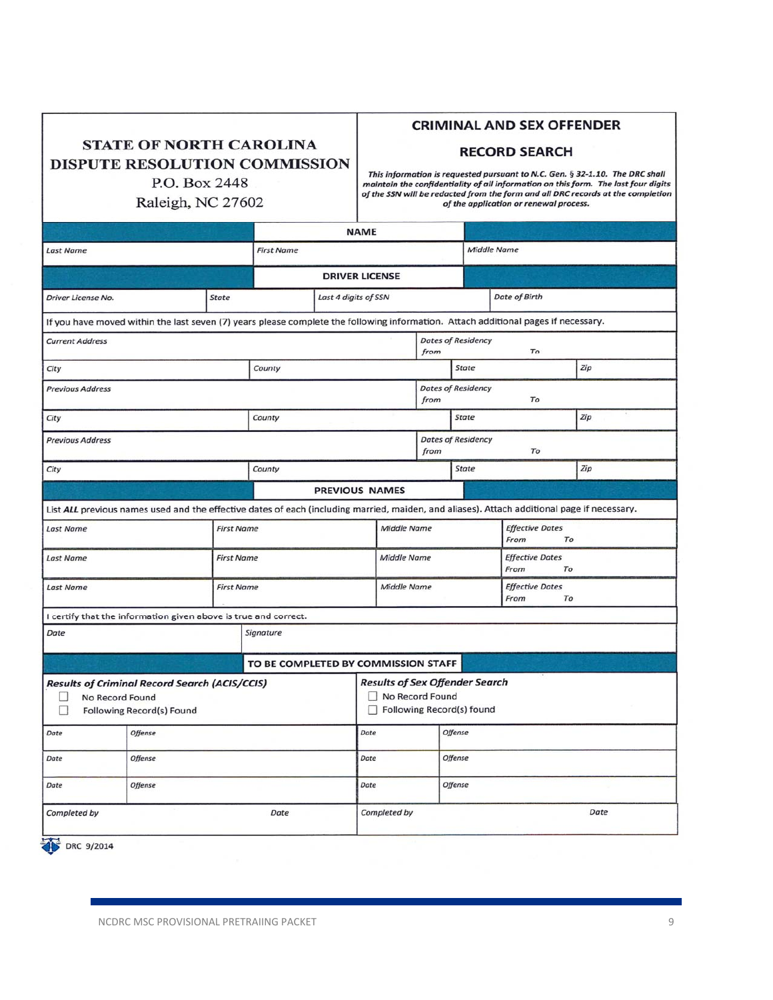| <b>STATE OF NORTH CAROLINA</b> |  |
|--------------------------------|--|
| DISPUTE RESOLUTION COMMISSION  |  |
| P.O. Box 2448                  |  |

#### **CRIMINAL AND SEX OFFENDER**

#### **RECORD SEARCH**

Raleigh, NC 27602

This information is requested pursuant to N.C. Gen. § 32-1.10. The DRC shall<br>maintain the confidentiality of all information on this form. The last four digits<br>of the SSN will be redacted from the form and all DRC records of the application or renewal process.

|                                                                                                                                             |                                                                 |              | <b>NAME</b>           |                                                                                              |                 |                                      |                                 |                              |     |  |  |
|---------------------------------------------------------------------------------------------------------------------------------------------|-----------------------------------------------------------------|--------------|-----------------------|----------------------------------------------------------------------------------------------|-----------------|--------------------------------------|---------------------------------|------------------------------|-----|--|--|
| <b>Last Name</b>                                                                                                                            |                                                                 |              | <b>First Name</b>     |                                                                                              |                 |                                      | <b>Middle Name</b>              |                              |     |  |  |
|                                                                                                                                             |                                                                 |              | <b>DRIVER LICENSE</b> |                                                                                              |                 |                                      |                                 |                              |     |  |  |
| Driver License No.                                                                                                                          |                                                                 | <b>State</b> |                       | Last 4 digits of SSN                                                                         |                 |                                      | Date of Birth                   |                              |     |  |  |
| If you have moved within the last seven (7) years please complete the following information. Attach additional pages if necessary.          |                                                                 |              |                       |                                                                                              |                 |                                      |                                 |                              |     |  |  |
| <b>Current Address</b>                                                                                                                      |                                                                 |              |                       |                                                                                              |                 | from                                 | <b>Dates of Residency</b><br>To |                              |     |  |  |
| City                                                                                                                                        |                                                                 |              | County                |                                                                                              |                 |                                      | State                           |                              | Zip |  |  |
| <b>Previous Address</b>                                                                                                                     |                                                                 |              |                       |                                                                                              |                 | from                                 | <b>Dates of Residency</b><br>To |                              |     |  |  |
| City                                                                                                                                        |                                                                 | County       |                       |                                                                                              |                 | <b>State</b>                         |                                 | Zip                          |     |  |  |
| <b>Previous Address</b>                                                                                                                     |                                                                 |              |                       |                                                                                              |                 | from                                 | <b>Dates of Residency</b>       | To                           |     |  |  |
| City                                                                                                                                        |                                                                 |              | County                |                                                                                              |                 |                                      | <b>State</b>                    |                              | Zip |  |  |
| <b>PREVIOUS NAMES</b>                                                                                                                       |                                                                 |              |                       |                                                                                              |                 |                                      |                                 |                              |     |  |  |
| List ALL previous names used and the effective dates of each (including married, maiden, and aliases). Attach additional page if necessary. |                                                                 |              |                       |                                                                                              |                 |                                      |                                 |                              |     |  |  |
| <b>First Name</b><br><b>Last Name</b>                                                                                                       |                                                                 |              | Middle Name           |                                                                                              |                 | From                                 |                                 | <b>Effective Dates</b>       | To  |  |  |
| <b>Last Name</b><br><b>First Name</b>                                                                                                       |                                                                 |              | Middle Name           |                                                                                              |                 | From                                 |                                 | <b>Effective Dates</b><br>To |     |  |  |
| <b>First Name</b><br><b>Last Name</b>                                                                                                       |                                                                 |              | Middle Name           |                                                                                              |                 | <b>Effective Dates</b><br>From<br>To |                                 |                              |     |  |  |
|                                                                                                                                             | I certify that the information given above is true and correct. |              |                       |                                                                                              |                 |                                      |                                 |                              |     |  |  |
| Date<br>Signature                                                                                                                           |                                                                 |              |                       |                                                                                              |                 |                                      |                                 |                              |     |  |  |
| TO BE COMPLETED BY COMMISSION STAFF                                                                                                         |                                                                 |              |                       |                                                                                              |                 |                                      |                                 |                              |     |  |  |
| <b>Results of Criminal Record Search (ACIS/CCIS)</b><br>No Record Found<br>Ш<br>$\Box$<br>Following Record(s) Found                         |                                                                 |              |                       | <b>Results of Sex Offender Search</b><br>No Record Found<br>$\Box$ Following Record(s) found |                 |                                      |                                 |                              |     |  |  |
| Date                                                                                                                                        | <b>Offense</b>                                                  |              | Date                  |                                                                                              |                 | Offense                              |                                 |                              |     |  |  |
| Date                                                                                                                                        | <b>Offense</b>                                                  |              |                       | Date                                                                                         |                 | Offense                              |                                 |                              |     |  |  |
| Date                                                                                                                                        | Offense                                                         |              |                       |                                                                                              | Date<br>Offense |                                      |                                 |                              |     |  |  |
| Completed by                                                                                                                                |                                                                 |              | Date                  |                                                                                              | Completed by    |                                      |                                 | Date                         |     |  |  |
| DRC 9/2014                                                                                                                                  |                                                                 |              |                       |                                                                                              |                 |                                      |                                 |                              |     |  |  |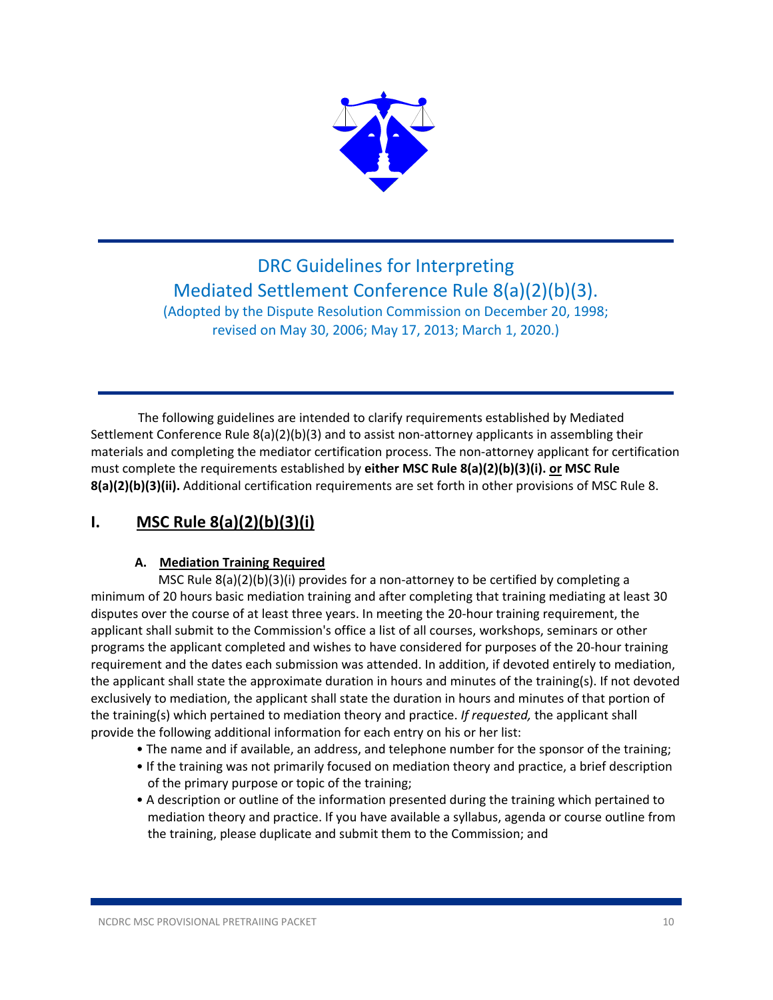

# DRC Guidelines for Interpreting Mediated Settlement Conference Rule 8(a)(2)(b)(3). (Adopted by the Dispute Resolution Commission on December 20, 1998;

revised on May 30, 2006; May 17, 2013; March 1, 2020.)

 The following guidelines are intended to clarify requirements established by Mediated Settlement Conference Rule 8(a)(2)(b)(3) and to assist non-attorney applicants in assembling their materials and completing the mediator certification process. The non‐attorney applicant for certification must complete the requirements established by **either MSC Rule 8(a)(2)(b)(3)(i). or MSC Rule 8(a)(2)(b)(3)(ii).** Additional certification requirements are set forth in other provisions of MSC Rule 8.

# **I. MSC Rule 8(a)(2)(b)(3)(i)**

### **A. Mediation Training Required**

MSC Rule  $8(a)(2)(b)(3)(i)$  provides for a non-attorney to be certified by completing a minimum of 20 hours basic mediation training and after completing that training mediating at least 30 disputes over the course of at least three years. In meeting the 20‐hour training requirement, the applicant shall submit to the Commission's office a list of all courses, workshops, seminars or other programs the applicant completed and wishes to have considered for purposes of the 20‐hour training requirement and the dates each submission was attended. In addition, if devoted entirely to mediation, the applicant shall state the approximate duration in hours and minutes of the training(s). If not devoted exclusively to mediation, the applicant shall state the duration in hours and minutes of that portion of the training(s) which pertained to mediation theory and practice. *If requested,* the applicant shall provide the following additional information for each entry on his or her list:

- The name and if available, an address, and telephone number for the sponsor of the training;
- If the training was not primarily focused on mediation theory and practice, a brief description of the primary purpose or topic of the training;
- A description or outline of the information presented during the training which pertained to mediation theory and practice. If you have available a syllabus, agenda or course outline from the training, please duplicate and submit them to the Commission; and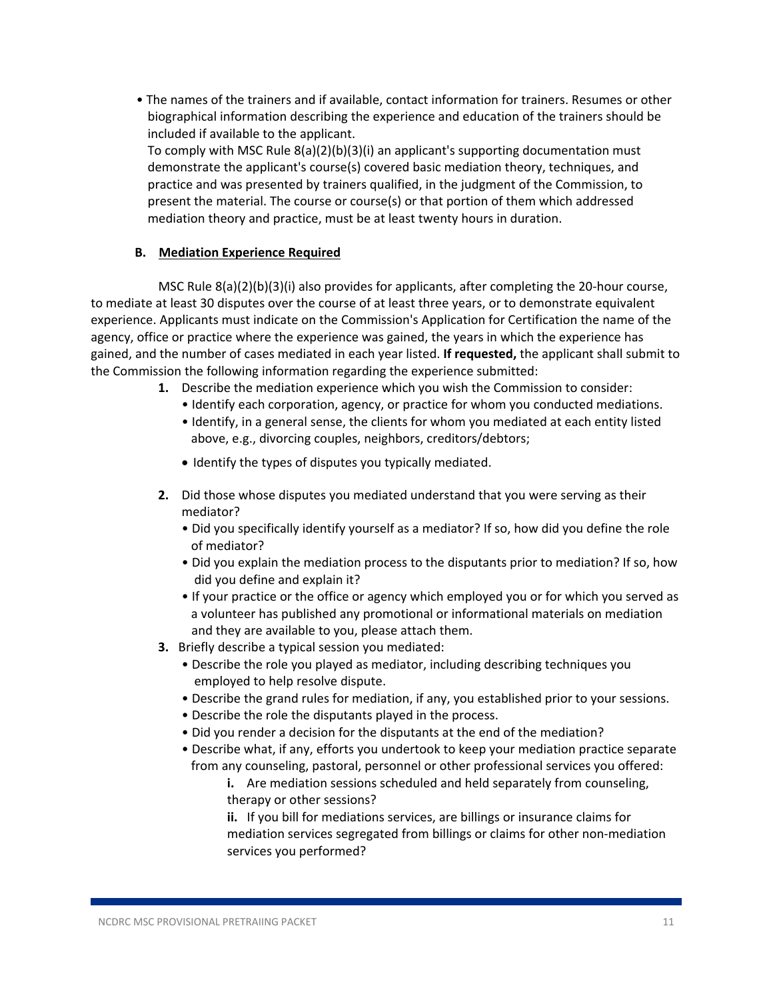• The names of the trainers and if available, contact information for trainers. Resumes or other biographical information describing the experience and education of the trainers should be included if available to the applicant. To comply with MSC Rule 8(a)(2)(b)(3)(i) an applicant's supporting documentation must demonstrate the applicant's course(s) covered basic mediation theory, techniques, and

practice and was presented by trainers qualified, in the judgment of the Commission, to present the material. The course or course(s) or that portion of them which addressed mediation theory and practice, must be at least twenty hours in duration.

#### **B. Mediation Experience Required**

MSC Rule  $8(a)(2)(b)(3)(i)$  also provides for applicants, after completing the 20-hour course, to mediate at least 30 disputes over the course of at least three years, or to demonstrate equivalent experience. Applicants must indicate on the Commission's Application for Certification the name of the agency, office or practice where the experience was gained, the years in which the experience has gained, and the number of cases mediated in each year listed. **If requested,** the applicant shall submit to the Commission the following information regarding the experience submitted:

- **1.** Describe the mediation experience which you wish the Commission to consider:
	- Identify each corporation, agency, or practice for whom you conducted mediations.
	- • Identify, in a general sense, the clients for whom you mediated at each entity listed above, e.g., divorcing couples, neighbors, creditors/debtors;
	- Identify the types of disputes you typically mediated.
- **2.** Did those whose disputes you mediated understand that you were serving as their mediator?
	- • Did you specifically identify yourself as a mediator? If so, how did you define the role of mediator?
	- • Did you explain the mediation process to the disputants prior to mediation? If so, how did you define and explain it?
	- • If your practice or the office or agency which employed you or for which you served as a volunteer has published any promotional or informational materials on mediation and they are available to you, please attach them.
- **3.** Briefly describe a typical session you mediated:
	- • Describe the role you played as mediator, including describing techniques you employed to help resolve dispute.
	- Describe the grand rules for mediation, if any, you established prior to your sessions.
	- Describe the role the disputants played in the process.
	- Did you render a decision for the disputants at the end of the mediation?
	- • Describe what, if any, efforts you undertook to keep your mediation practice separate from any counseling, pastoral, personnel or other professional services you offered:
		- **i.** Are mediation sessions scheduled and held separately from counseling, therapy or other sessions?

**ii.** If you bill for mediations services, are billings or insurance claims for mediation services segregated from billings or claims for other non‐mediation services you performed?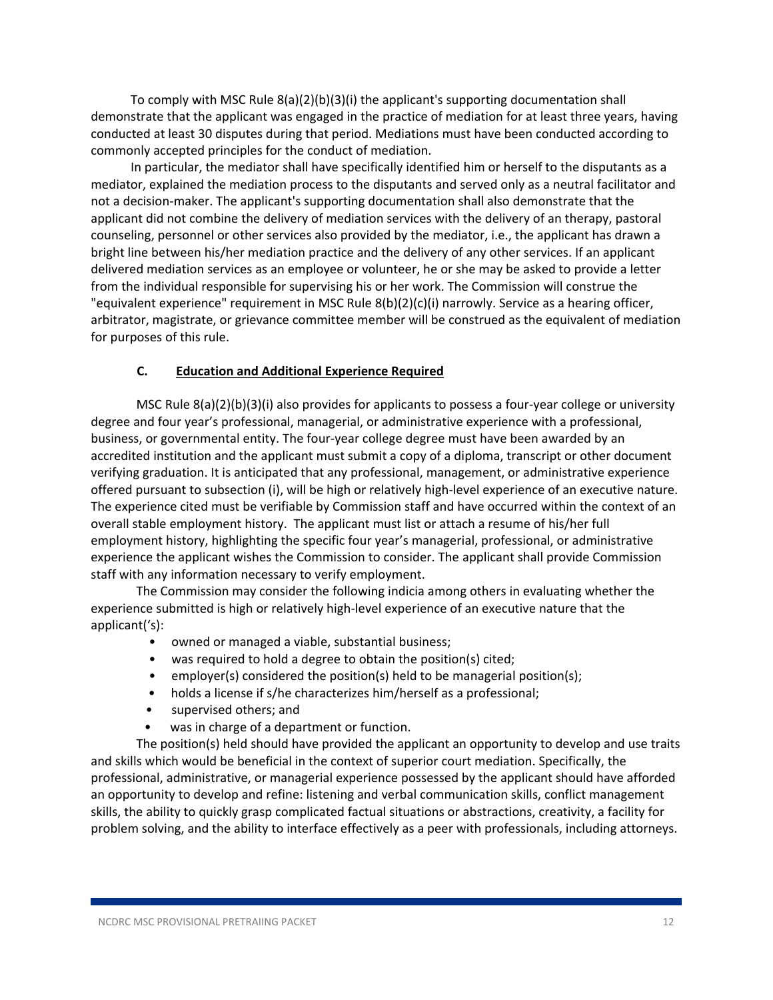To comply with MSC Rule  $8(a)(2)(b)(3)(i)$  the applicant's supporting documentation shall demonstrate that the applicant was engaged in the practice of mediation for at least three years, having conducted at least 30 disputes during that period. Mediations must have been conducted according to commonly accepted principles for the conduct of mediation.

In particular, the mediator shall have specifically identified him or herself to the disputants as a mediator, explained the mediation process to the disputants and served only as a neutral facilitator and not a decision‐maker. The applicant's supporting documentation shall also demonstrate that the applicant did not combine the delivery of mediation services with the delivery of an therapy, pastoral counseling, personnel or other services also provided by the mediator, i.e., the applicant has drawn a bright line between his/her mediation practice and the delivery of any other services. If an applicant delivered mediation services as an employee or volunteer, he or she may be asked to provide a letter from the individual responsible for supervising his or her work. The Commission will construe the "equivalent experience" requirement in MSC Rule 8(b)(2)(c)(i) narrowly. Service as a hearing officer, arbitrator, magistrate, or grievance committee member will be construed as the equivalent of mediation for purposes of this rule.

#### **C. Education and Additional Experience Required**

MSC Rule 8(a)(2)(b)(3)(i) also provides for applicants to possess a four‐year college or university degree and four year's professional, managerial, or administrative experience with a professional, business, or governmental entity. The four‐year college degree must have been awarded by an accredited institution and the applicant must submit a copy of a diploma, transcript or other document verifying graduation. It is anticipated that any professional, management, or administrative experience offered pursuant to subsection (i), will be high or relatively high‐level experience of an executive nature. The experience cited must be verifiable by Commission staff and have occurred within the context of an overall stable employment history. The applicant must list or attach a resume of his/her full employment history, highlighting the specific four year's managerial, professional, or administrative experience the applicant wishes the Commission to consider. The applicant shall provide Commission staff with any information necessary to verify employment.

The Commission may consider the following indicia among others in evaluating whether the experience submitted is high or relatively high‐level experience of an executive nature that the applicant('s):

- owned or managed a viable, substantial business;
- was required to hold a degree to obtain the position(s) cited;
- employer(s) considered the position(s) held to be managerial position(s);
- holds a license if s/he characterizes him/herself as a professional;
- supervised others; and
- was in charge of a department or function.

The position(s) held should have provided the applicant an opportunity to develop and use traits and skills which would be beneficial in the context of superior court mediation. Specifically, the professional, administrative, or managerial experience possessed by the applicant should have afforded an opportunity to develop and refine: listening and verbal communication skills, conflict management skills, the ability to quickly grasp complicated factual situations or abstractions, creativity, a facility for problem solving, and the ability to interface effectively as a peer with professionals, including attorneys.